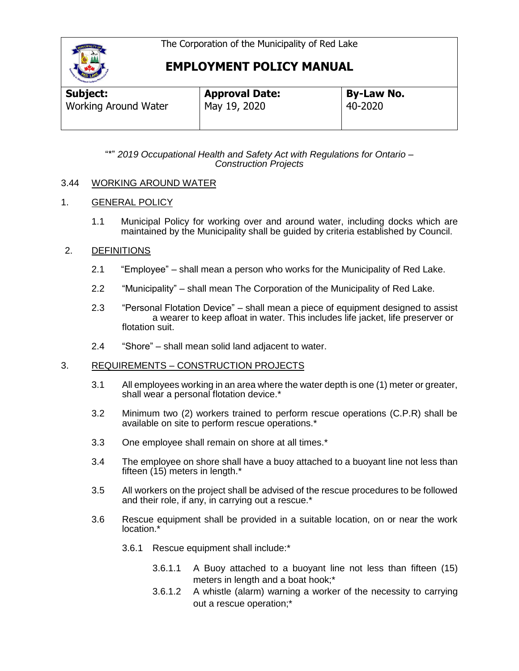

# **EMPLOYMENT POLICY MANUAL**

| Subject:                    | <b>Approval Date:</b> | <b>By-Law No.</b> |  |
|-----------------------------|-----------------------|-------------------|--|
| <b>Working Around Water</b> | May 19, 2020          | 40-2020           |  |
|                             |                       |                   |  |

"\*" *2019 Occupational Health and Safety Act with Regulations for Ontario – Construction Projects*

## 3.44 WORKING AROUND WATER

## 1. GENERAL POLICY

1.1 Municipal Policy for working over and around water, including docks which are maintained by the Municipality shall be guided by criteria established by Council.

## 2. DEFINITIONS

- 2.1 "Employee" shall mean a person who works for the Municipality of Red Lake.
- 2.2 "Municipality" shall mean The Corporation of the Municipality of Red Lake.
- 2.3 "Personal Flotation Device" shall mean a piece of equipment designed to assist a wearer to keep afloat in water. This includes life jacket, life preserver or flotation suit.
- 2.4 "Shore" shall mean solid land adjacent to water.

#### 3. REQUIREMENTS – CONSTRUCTION PROJECTS

- 3.1 All employees working in an area where the water depth is one (1) meter or greater, shall wear a personal flotation device.\*
- 3.2 Minimum two (2) workers trained to perform rescue operations (C.P.R) shall be available on site to perform rescue operations.\*
- 3.3 One employee shall remain on shore at all times.\*
- 3.4 The employee on shore shall have a buoy attached to a buoyant line not less than fifteen (15) meters in length.\*
- 3.5 All workers on the project shall be advised of the rescue procedures to be followed and their role, if any, in carrying out a rescue.\*
- 3.6 Rescue equipment shall be provided in a suitable location, on or near the work location.\*
	- 3.6.1 Rescue equipment shall include:\*
		- 3.6.1.1 A Buoy attached to a buoyant line not less than fifteen (15) meters in length and a boat hook;\*
		- 3.6.1.2 A whistle (alarm) warning a worker of the necessity to carrying out a rescue operation;\*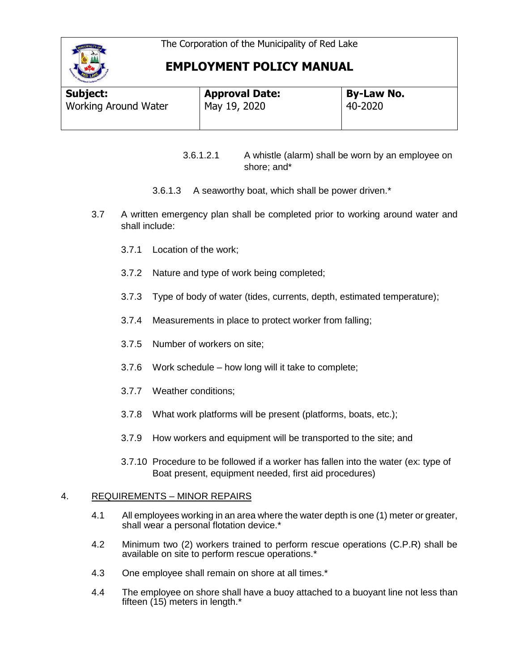

# **EMPLOYMENT POLICY MANUAL**

| Subject:                    | <b>Approval Date:</b> | <b>By-Law No.</b> |  |
|-----------------------------|-----------------------|-------------------|--|
| <b>Working Around Water</b> | May 19, 2020          | 40-2020           |  |
|                             |                       |                   |  |

3.6.1.2.1 A whistle (alarm) shall be worn by an employee on shore; and\*

- 3.6.1.3 A seaworthy boat, which shall be power driven.\*
- 3.7 A written emergency plan shall be completed prior to working around water and shall include:
	- 3.7.1 Location of the work;
	- 3.7.2 Nature and type of work being completed;
	- 3.7.3 Type of body of water (tides, currents, depth, estimated temperature);
	- 3.7.4 Measurements in place to protect worker from falling;
	- 3.7.5 Number of workers on site;
	- 3.7.6 Work schedule how long will it take to complete;
	- 3.7.7 Weather conditions;
	- 3.7.8 What work platforms will be present (platforms, boats, etc.);
	- 3.7.9 How workers and equipment will be transported to the site; and
	- 3.7.10 Procedure to be followed if a worker has fallen into the water (ex: type of Boat present, equipment needed, first aid procedures)

# 4. REQUIREMENTS – MINOR REPAIRS

- 4.1 All employees working in an area where the water depth is one (1) meter or greater, shall wear a personal flotation device.\*
- 4.2 Minimum two (2) workers trained to perform rescue operations (C.P.R) shall be available on site to perform rescue operations.\*
- 4.3 One employee shall remain on shore at all times.\*
- 4.4 The employee on shore shall have a buoy attached to a buoyant line not less than fifteen (15) meters in length.\*